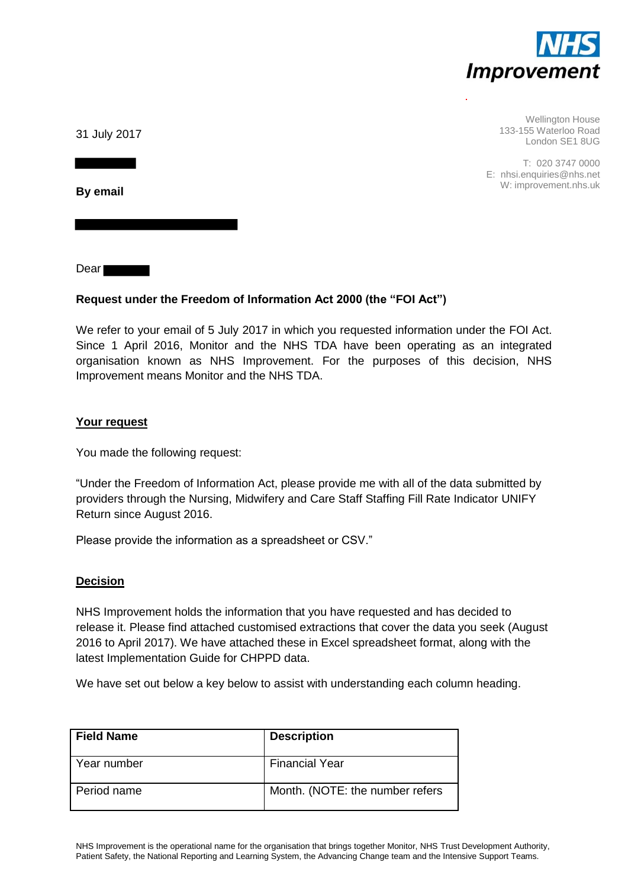

Wellington House 133-155 Waterloo Road London SE1 8UG

T: 020 3747 0000 E: nhsi.enquiries@nhs.net W: improvement.nhs.uk

31 July 2017

**By email** 

Dear

# **Request under the Freedom of Information Act 2000 (the "FOI Act")**

We refer to your email of 5 July 2017 in which you requested information under the FOI Act. Since 1 April 2016, Monitor and the NHS TDA have been operating as an integrated organisation known as NHS Improvement. For the purposes of this decision, NHS Improvement means Monitor and the NHS TDA.

# **Your request**

You made the following request:

"Under the Freedom of Information Act, please provide me with all of the data submitted by providers through the Nursing, Midwifery and Care Staff Staffing Fill Rate Indicator UNIFY Return since August 2016.

Please provide the information as a spreadsheet or CSV."

# **Decision**

NHS Improvement holds the information that you have requested and has decided to release it. Please find attached customised extractions that cover the data you seek (August 2016 to April 2017). We have attached these in Excel spreadsheet format, along with the latest Implementation Guide for CHPPD data.

We have set out below a key below to assist with understanding each column heading.

| <b>Field Name</b> | <b>Description</b>              |
|-------------------|---------------------------------|
| Year number       | <b>Financial Year</b>           |
| Period name       | Month. (NOTE: the number refers |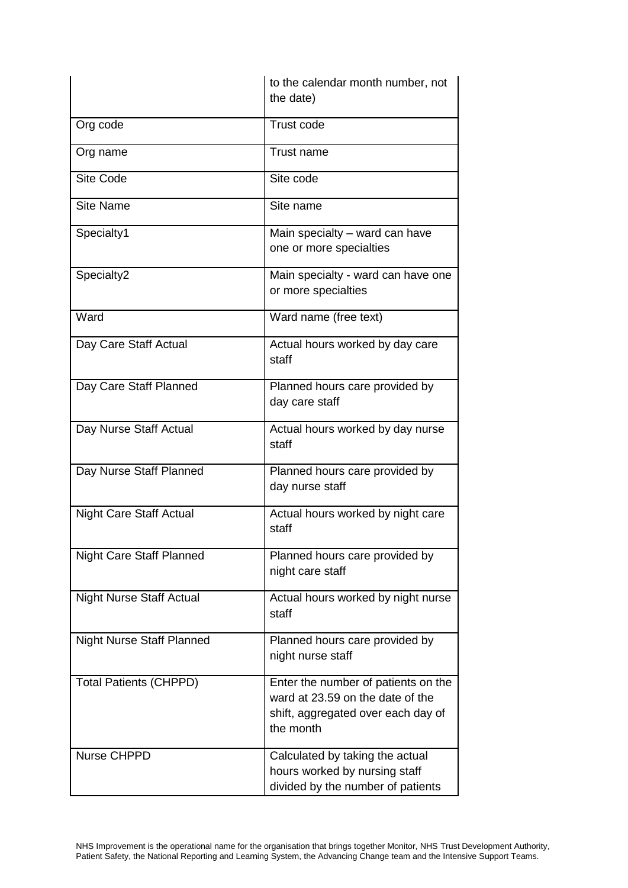|                                  | to the calendar month number, not<br>the date)                                                                             |
|----------------------------------|----------------------------------------------------------------------------------------------------------------------------|
| Org code                         | <b>Trust code</b>                                                                                                          |
| Org name                         | Trust name                                                                                                                 |
| <b>Site Code</b>                 | Site code                                                                                                                  |
| <b>Site Name</b>                 | Site name                                                                                                                  |
| Specialty1                       | Main specialty – ward can have<br>one or more specialties                                                                  |
| Specialty2                       | Main specialty - ward can have one<br>or more specialties                                                                  |
| Ward                             | Ward name (free text)                                                                                                      |
| Day Care Staff Actual            | Actual hours worked by day care<br>staff                                                                                   |
| Day Care Staff Planned           | Planned hours care provided by<br>day care staff                                                                           |
| Day Nurse Staff Actual           | Actual hours worked by day nurse<br>staff                                                                                  |
| Day Nurse Staff Planned          | Planned hours care provided by<br>day nurse staff                                                                          |
| <b>Night Care Staff Actual</b>   | Actual hours worked by night care<br>staff                                                                                 |
| <b>Night Care Staff Planned</b>  | Planned hours care provided by<br>night care staff                                                                         |
| <b>Night Nurse Staff Actual</b>  | Actual hours worked by night nurse<br>staff                                                                                |
| <b>Night Nurse Staff Planned</b> | Planned hours care provided by<br>night nurse staff                                                                        |
| <b>Total Patients (CHPPD)</b>    | Enter the number of patients on the<br>ward at 23.59 on the date of the<br>shift, aggregated over each day of<br>the month |
| Nurse CHPPD                      | Calculated by taking the actual<br>hours worked by nursing staff<br>divided by the number of patients                      |